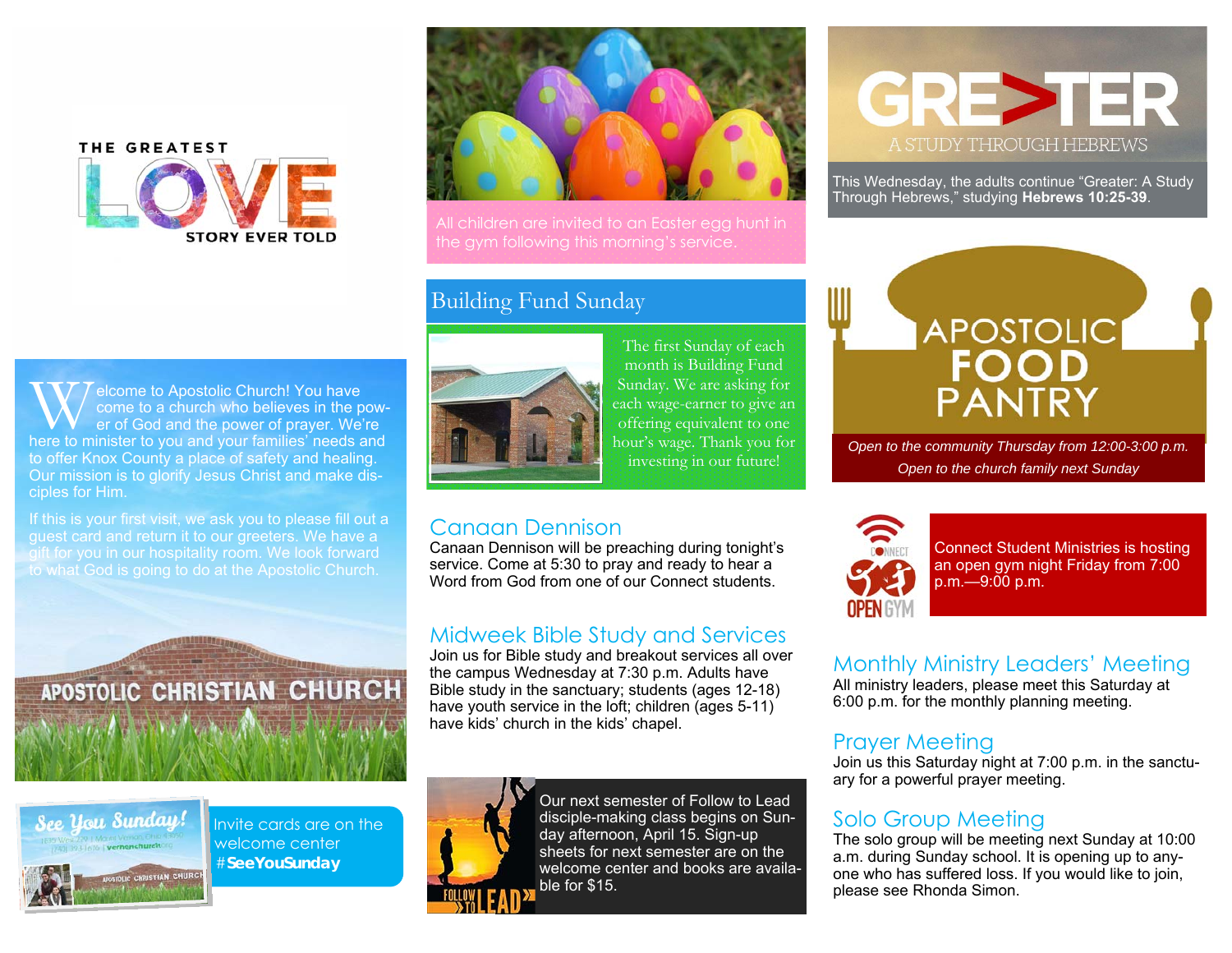# THE GREATEST **STORY EVER TOLD**



All children are invited to an Easter egg hunt in the gym following this morning's service.

#### Building Fund Sunday



If this is your first visit, we ask you to please fill out a guest card and return it to our greeters. We have a gift for you in our hospitality room. We look forward to what God is going to do at the Apostolic Church.





Invite cards are on the welcome center #**SeeYouSunday** 



The first Sunday of each month is Building Fund Sunday. We are asking for each wage-earner to give an offering equivalent to one hour's wage. Thank you for investing in our future!

#### Canaan Dennison

Canaan Dennison will be preaching during tonight's service. Come at 5:30 to pray and ready to hear a Word from God from one of our Connect students.

#### Midweek Bible Study and Services

Join us for Bible study and breakout services all over the campus Wednesday at 7:30 p.m. Adults have Bible study in the sanctuary; students (ages 12-18) have youth service in the loft; children (ages 5-11) have kids' church in the kids' chapel.



Our next semester of Follow to Lead disciple-making class begins on Sunday afternoon, April 15. Sign-up sheets for next semester are on the welcome center and books are available for \$15.



This Wednesday, the adults continue "Greater: A Study Through Hebrews," studying **Hebrews 10:25-39**.



*Open to the community Thursday from 12:00-3:00 p.m. Open to the church family next Sunday* 



Connect Student Ministries is hosting an open gym night Friday from 7:00 p.m.—9:00 p.m.

Monthly Ministry Leaders' Meeting

All ministry leaders, please meet this Saturday at 6:00 p.m. for the monthly planning meeting.

#### Prayer Meeting

Join us this Saturday night at 7:00 p.m. in the sanctuary for a powerful prayer meeting.

#### Solo Group Meeting

The solo group will be meeting next Sunday at 10:00 a.m. during Sunday school. It is opening up to anyone who has suffered loss. If you would like to join, please see Rhonda Simon.